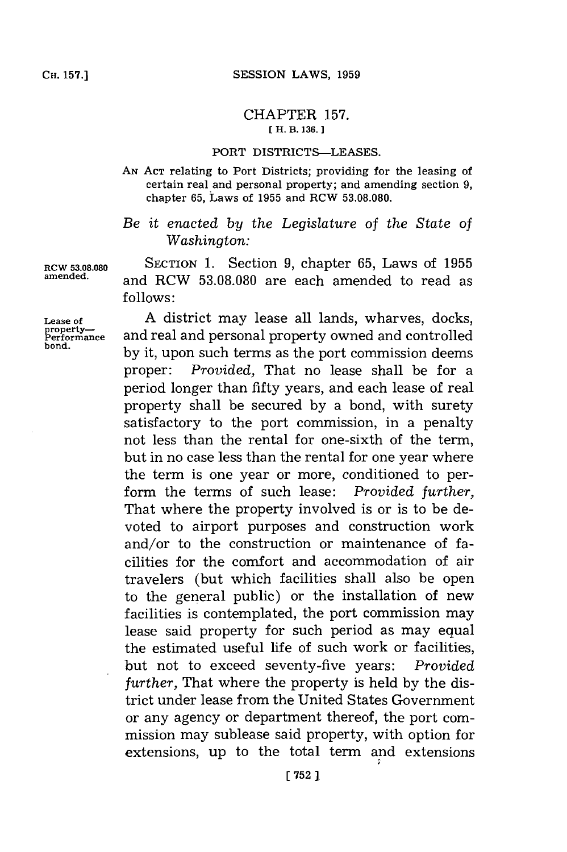## CHAPTER **157. [ H. B. 136. 1**

## PORT DISTRICTS-LEASES.

**AN ACT** relating to Port Districts; providing for the leasing of certain real and personal property; and amending section **9,** chapter **65,** Laws of **1955** and RCW **53.08.080.**

## *Be it enacted by the Legislature of the State of Washington:*

**RCW 53.08.080 SECTION 1.** Section **9,** chapter **65,** Laws of **1955 amended,** and RCW **53.08.080** are each amended to read as **follows:**

Lease of **A** district may lease all lands, wharves, docks, property—<br> **Performance** and real and personal property owned and controlled and real and personal property owned and controlled bond. **by** it, upon such terms as the port commission deems proper: *Provided,* That no lease shall be for a period longer than fifty years, and each lease of real property shall be secured **by** a bond, with surety satisfactory to the port commission, in a penalty not less than the rental for one-sixth of the term, but in no case less than the rental for one year where the term is one year or more, conditioned to perform the terms of such lease: *Provided further,* That where the property involved is or is to be devoted to airport purposes and construction work and/or to the construction or maintenance of facilities for the comfort and accommodation of air travelers (but which facilities shall also be open to the general public) or the installation of new facilities is contemplated, the port commission may lease said property for such period as may equal the estimated useful life of such work or facilities, but not to exceed seventy-five years: *Provided further,* That where the property is held **by** the district under lease from the United States Government or any agency or department thereof, the port commission may sublease said property, with option for extensions, up to the total term and extensions